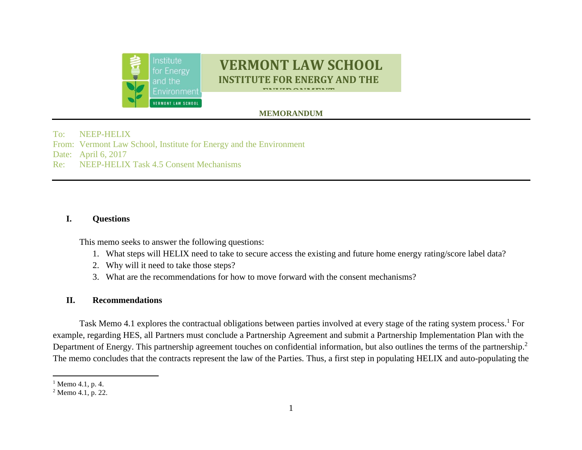

# **VERMONT LAW SCHOOL INSTITUTE FOR ENERGY AND THE**

**ENTRANTANA**<br>EN

## $\bf{MEMORANDUM}$

To: NEEP-HELIX From: Vermont Law School, Institute for Energy and the Environment Date: April 6, 2017 Re: NEEP-HELIX Task 4.5 Consent Mechanisms

#### **I. Questions**

This memo seeks to answer the following questions:

- 1. What steps will HELIX need to take to secure access the existing and future home energy rating/score label data?
- 2. Why will it need to take those steps?
- 3. What are the recommendations for how to move forward with the consent mechanisms?

#### **II. Recommendations**

Task Memo 4.1 explores the contractual obligations between parties involved at every stage of the rating system process.<sup>1</sup> For example, regarding HES, all Partners must conclude a Partnership Agreement and submit a Partnership Implementation Plan with the Department of Energy. This partnership agreement touches on confidential information, but also outlines the terms of the partnership.<sup>2</sup> The memo concludes that the contracts represent the law of the Parties. Thus, a first step in populating HELIX and auto-populating the

 $\overline{\phantom{a}}$  $1$  Memo 4.1, p. 4.

 $2$  Memo 4.1, p. 22.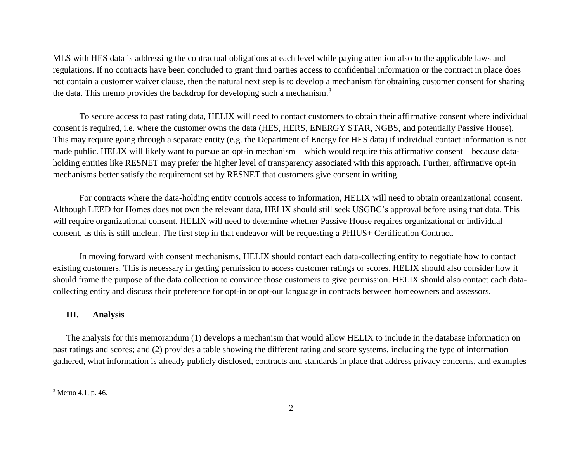MLS with HES data is addressing the contractual obligations at each level while paying attention also to the applicable laws and regulations. If no contracts have been concluded to grant third parties access to confidential information or the contract in place does not contain a customer waiver clause, then the natural next step is to develop a mechanism for obtaining customer consent for sharing the data. This memo provides the backdrop for developing such a mechanism.<sup>3</sup>

To secure access to past rating data, HELIX will need to contact customers to obtain their affirmative consent where individual consent is required, i.e. where the customer owns the data (HES, HERS, ENERGY STAR, NGBS, and potentially Passive House). This may require going through a separate entity (e.g. the Department of Energy for HES data) if individual contact information is not made public. HELIX will likely want to pursue an opt-in mechanism—which would require this affirmative consent—because dataholding entities like RESNET may prefer the higher level of transparency associated with this approach. Further, affirmative opt-in mechanisms better satisfy the requirement set by RESNET that customers give consent in writing.

For contracts where the data-holding entity controls access to information, HELIX will need to obtain organizational consent. Although LEED for Homes does not own the relevant data, HELIX should still seek USGBC's approval before using that data. This will require organizational consent. HELIX will need to determine whether Passive House requires organizational or individual consent, as this is still unclear. The first step in that endeavor will be requesting a PHIUS+ Certification Contract.

In moving forward with consent mechanisms, HELIX should contact each data-collecting entity to negotiate how to contact existing customers. This is necessary in getting permission to access customer ratings or scores. HELIX should also consider how it should frame the purpose of the data collection to convince those customers to give permission. HELIX should also contact each datacollecting entity and discuss their preference for opt-in or opt-out language in contracts between homeowners and assessors.

#### **III. Analysis**

The analysis for this memorandum (1) develops a mechanism that would allow HELIX to include in the database information on past ratings and scores; and (2) provides a table showing the different rating and score systems, including the type of information gathered, what information is already publicly disclosed, contracts and standards in place that address privacy concerns, and examples

 $\overline{\phantom{a}}$ 

<sup>3</sup> Memo 4.1, p. 46.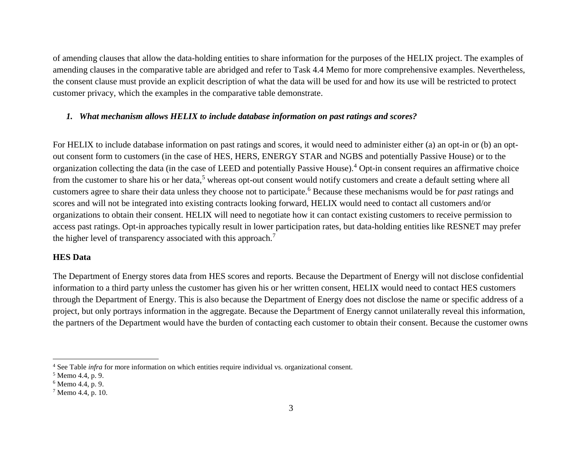of amending clauses that allow the data-holding entities to share information for the purposes of the HELIX project. The examples of amending clauses in the comparative table are abridged and refer to Task 4.4 Memo for more comprehensive examples. Nevertheless, the consent clause must provide an explicit description of what the data will be used for and how its use will be restricted to protect customer privacy, which the examples in the comparative table demonstrate.

#### *1. What mechanism allows HELIX to include database information on past ratings and scores?*

For HELIX to include database information on past ratings and scores, it would need to administer either (a) an opt-in or (b) an optout consent form to customers (in the case of HES, HERS, ENERGY STAR and NGBS and potentially Passive House) or to the organization collecting the data (in the case of LEED and potentially Passive House).<sup>4</sup> Opt-in consent requires an affirmative choice from the customer to share his or her data,<sup>5</sup> whereas opt-out consent would notify customers and create a default setting where all customers agree to share their data unless they choose not to participate.<sup>6</sup> Because these mechanisms would be for *past* ratings and scores and will not be integrated into existing contracts looking forward, HELIX would need to contact all customers and/or organizations to obtain their consent. HELIX will need to negotiate how it can contact existing customers to receive permission to access past ratings. Opt-in approaches typically result in lower participation rates, but data-holding entities like RESNET may prefer the higher level of transparency associated with this approach.<sup>7</sup>

#### **HES Data**

The Department of Energy stores data from HES scores and reports. Because the Department of Energy will not disclose confidential information to a third party unless the customer has given his or her written consent, HELIX would need to contact HES customers through the Department of Energy. This is also because the Department of Energy does not disclose the name or specific address of a project, but only portrays information in the aggregate. Because the Department of Energy cannot unilaterally reveal this information, the partners of the Department would have the burden of contacting each customer to obtain their consent. Because the customer owns

 $\overline{\phantom{a}}$ 

<sup>4</sup> See Table *infra* for more information on which entities require individual vs. organizational consent.

<sup>5</sup> Memo 4.4, p. 9.

<sup>6</sup> Memo 4.4, p. 9.

 $7$  Memo 4.4, p. 10.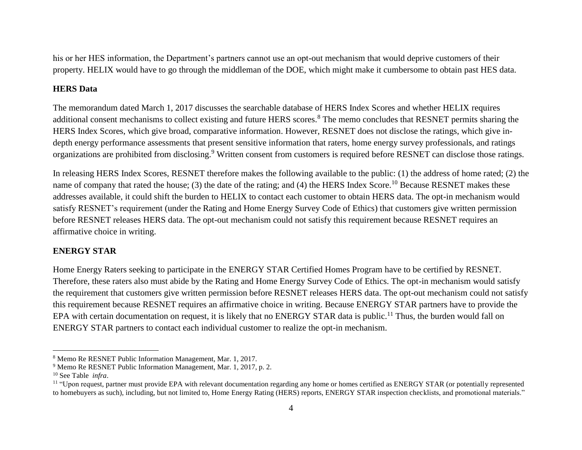his or her HES information, the Department's partners cannot use an opt-out mechanism that would deprive customers of their property. HELIX would have to go through the middleman of the DOE, which might make it cumbersome to obtain past HES data.

#### **HERS Data**

The memorandum dated March 1, 2017 discusses the searchable database of HERS Index Scores and whether HELIX requires additional consent mechanisms to collect existing and future HERS scores.<sup>8</sup> The memo concludes that RESNET permits sharing the HERS Index Scores, which give broad, comparative information. However, RESNET does not disclose the ratings, which give indepth energy performance assessments that present sensitive information that raters, home energy survey professionals, and ratings organizations are prohibited from disclosing.<sup>9</sup> Written consent from customers is required before RESNET can disclose those ratings.

In releasing HERS Index Scores, RESNET therefore makes the following available to the public: (1) the address of home rated; (2) the name of company that rated the house; (3) the date of the rating; and (4) the HERS Index Score.<sup>10</sup> Because RESNET makes these addresses available, it could shift the burden to HELIX to contact each customer to obtain HERS data. The opt-in mechanism would satisfy RESNET's requirement (under the Rating and Home Energy Survey Code of Ethics) that customers give written permission before RESNET releases HERS data. The opt-out mechanism could not satisfy this requirement because RESNET requires an affirmative choice in writing.

#### **ENERGY STAR**

Home Energy Raters seeking to participate in the ENERGY STAR Certified Homes Program have to be certified by RESNET. Therefore, these raters also must abide by the Rating and Home Energy Survey Code of Ethics. The opt-in mechanism would satisfy the requirement that customers give written permission before RESNET releases HERS data. The opt-out mechanism could not satisfy this requirement because RESNET requires an affirmative choice in writing. Because ENERGY STAR partners have to provide the EPA with certain documentation on request, it is likely that no ENERGY STAR data is public.<sup>11</sup> Thus, the burden would fall on ENERGY STAR partners to contact each individual customer to realize the opt-in mechanism.

 $\overline{a}$ <sup>8</sup> Memo Re RESNET Public Information Management, Mar. 1, 2017.

<sup>9</sup> Memo Re RESNET Public Information Management, Mar. 1, 2017, p. 2.

<sup>10</sup> See Table *infra*.

<sup>&</sup>lt;sup>11</sup> "Upon request, partner must provide EPA with relevant documentation regarding any home or homes certified as ENERGY STAR (or potentially represented to homebuyers as such), including, but not limited to, Home Energy Rating (HERS) reports, ENERGY STAR inspection checklists, and promotional materials."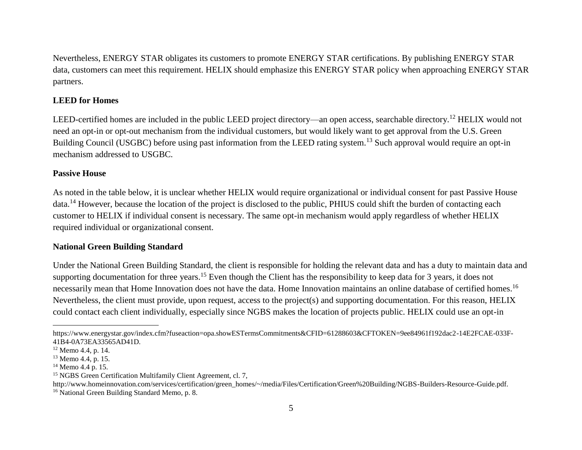Nevertheless, ENERGY STAR obligates its customers to promote ENERGY STAR certifications. By publishing ENERGY STAR data, customers can meet this requirement. HELIX should emphasize this ENERGY STAR policy when approaching ENERGY STAR partners.

#### **LEED for Homes**

LEED-certified homes are included in the public LEED project directory—an open access, searchable directory.<sup>12</sup> HELIX would not need an opt-in or opt-out mechanism from the individual customers, but would likely want to get approval from the U.S. Green Building Council (USGBC) before using past information from the LEED rating system.<sup>13</sup> Such approval would require an opt-in mechanism addressed to USGBC.

#### **Passive House**

As noted in the table below, it is unclear whether HELIX would require organizational or individual consent for past Passive House data.<sup>14</sup> However, because the location of the project is disclosed to the public, PHIUS could shift the burden of contacting each customer to HELIX if individual consent is necessary. The same opt-in mechanism would apply regardless of whether HELIX required individual or organizational consent.

#### **National Green Building Standard**

Under the National Green Building Standard, the client is responsible for holding the relevant data and has a duty to maintain data and supporting documentation for three years.<sup>15</sup> Even though the Client has the responsibility to keep data for 3 years, it does not necessarily mean that Home Innovation does not have the data. Home Innovation maintains an online database of certified homes.<sup>16</sup> Nevertheless, the client must provide, upon request, access to the project(s) and supporting documentation. For this reason, HELIX could contact each client individually, especially since NGBS makes the location of projects public. HELIX could use an opt-in

 $\overline{a}$ 

https://www.energystar.gov/index.cfm?fuseaction=opa.showESTermsCommitments&CFID=61288603&CFTOKEN=9ee84961f192dac2-14E2FCAE-033F-41B4-0A73EA33565AD41D*.*

<sup>12</sup> Memo 4.4, p. 14.

<sup>&</sup>lt;sup>13</sup> Memo 4.4, p. 15.

 $14$  Memo 4.4 p. 15.

<sup>&</sup>lt;sup>15</sup> NGBS Green Certification Multifamily Client Agreement, cl. 7,

http://www.homeinnovation.com/services/certification/green\_homes/~/media/Files/Certification/Green%20Building/NGBS-Builders-Resource-Guide.pdf.

<sup>&</sup>lt;sup>16</sup> National Green Building Standard Memo, p. 8.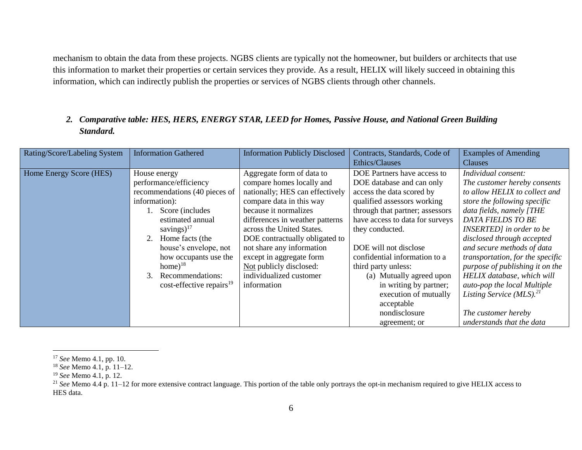mechanism to obtain the data from these projects. NGBS clients are typically not the homeowner, but builders or architects that use this information to market their properties or certain services they provide. As a result, HELIX will likely succeed in obtaining this information, which can indirectly publish the properties or services of NGBS clients through other channels.

### *2. Comparative table: HES, HERS, ENERGY STAR, LEED for Homes, Passive House, and National Green Building Standard.*

| Rating/Score/Labeling System | <b>Information Gathered</b>          | <b>Information Publicly Disclosed</b> | Contracts, Standards, Code of   | <b>Examples of Amending</b>            |
|------------------------------|--------------------------------------|---------------------------------------|---------------------------------|----------------------------------------|
|                              |                                      |                                       | Ethics/Clauses                  | Clauses                                |
| Home Energy Score (HES)      | House energy                         | Aggregate form of data to             | DOE Partners have access to     | Individual consent:                    |
|                              | performance/efficiency               | compare homes locally and             | DOE database and can only       | The customer hereby consents           |
|                              | recommendations (40 pieces of        | nationally; HES can effectively       | access the data scored by       | to allow HELIX to collect and          |
|                              | information):                        | compare data in this way              | qualified assessors working     | store the following specific           |
|                              | Score (includes                      | because it normalizes                 | through that partner; assessors | data fields, namely [THE               |
|                              | estimated annual                     | differences in weather patterns       | have access to data for surveys | DATA FIELDS TO BE                      |
|                              | savings) $17$                        | across the United States.             | they conducted.                 | INSERTED] in order to be               |
|                              | 2. Home facts (the                   | DOE contractually obligated to        |                                 | disclosed through accepted             |
|                              | house's envelope, not                | not share any information             | DOE will not disclose           | and secure methods of data             |
|                              | how occupants use the                | except in aggregate form              | confidential information to a   | transportation, for the specific       |
|                              | $home)^{18}$                         | Not publicly disclosed:               | third party unless:             | purpose of publishing it on the        |
|                              | Recommendations:<br>3                | individualized customer               | (a) Mutually agreed upon        | HELIX database, which will             |
|                              | $cost\text{-effective repairs}^{19}$ | information                           | in writing by partner;          | auto-pop the local Multiple            |
|                              |                                      |                                       | execution of mutually           | Listing Service $(MLS).$ <sup>21</sup> |
|                              |                                      |                                       | acceptable                      |                                        |
|                              |                                      |                                       | nondisclosure                   | The customer hereby                    |
|                              |                                      |                                       | agreement; or                   | understands that the data              |

 $\overline{a}$ 

<sup>17</sup> *See* Memo 4.1, pp. 10.

<sup>18</sup> *See* Memo 4.1, p. 11–12.

<sup>19</sup> *See* Memo 4.1, p. 12.

<sup>&</sup>lt;sup>21</sup> See Memo 4.4 p. 11–12 for more extensive contract language. This portion of the table only portrays the opt-in mechanism required to give HELIX access to HES data.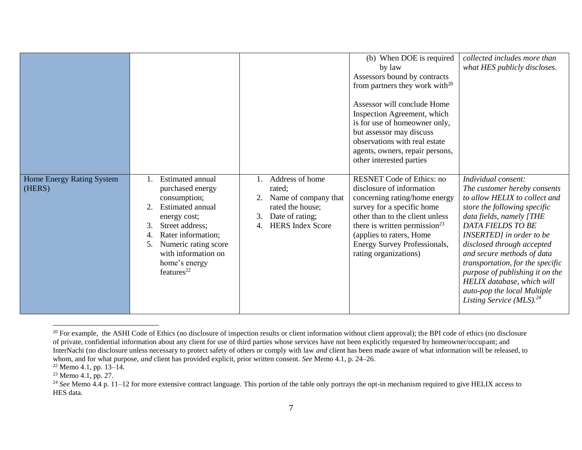|                                     |                                                                                                                                                                                                                                                            |                                                                                                                                 | (b) When DOE is required<br>by law<br>Assessors bound by contracts<br>from partners they work with $^{20}$<br>Assessor will conclude Home<br>Inspection Agreement, which<br>is for use of homeowner only,<br>but assessor may discuss<br>observations with real estate<br>agents, owners, repair persons,<br>other interested parties | collected includes more than<br>what HES publicly discloses.                                                                                                                                                                                                                                                                                                                                                                        |
|-------------------------------------|------------------------------------------------------------------------------------------------------------------------------------------------------------------------------------------------------------------------------------------------------------|---------------------------------------------------------------------------------------------------------------------------------|---------------------------------------------------------------------------------------------------------------------------------------------------------------------------------------------------------------------------------------------------------------------------------------------------------------------------------------|-------------------------------------------------------------------------------------------------------------------------------------------------------------------------------------------------------------------------------------------------------------------------------------------------------------------------------------------------------------------------------------------------------------------------------------|
| Home Energy Rating System<br>(HERS) | <b>Estimated annual</b><br>purchased energy<br>consumption;<br>2.<br>Estimated annual<br>energy cost;<br>3.<br>Street address;<br>Rater information;<br>4.<br>Numeric rating score<br>5.<br>with information on<br>home's energy<br>features <sup>22</sup> | Address of home<br>rated;<br>Name of company that<br>rated the house;<br>Date of rating;<br>3.<br><b>HERS</b> Index Score<br>4. | <b>RESNET Code of Ethics: no</b><br>disclosure of information<br>concerning rating/home energy<br>survey for a specific home<br>other than to the client unless<br>there is written permission <sup>23</sup><br>(applies to raters, Home<br>Energy Survey Professionals,<br>rating organizations)                                     | Individual consent:<br>The customer hereby consents<br>to allow HELIX to collect and<br>store the following specific<br>data fields, namely [THE<br>DATA FIELDS TO BE<br>INSERTED] in order to be<br>disclosed through accepted<br>and secure methods of data<br>transportation, for the specific<br>purpose of publishing it on the<br>HELIX database, which will<br>auto-pop the local Multiple<br>Listing Service (MLS). $^{24}$ |

 $\overline{a}$ <sup>20</sup> For example, the ASHI Code of Ethics (no disclosure of inspection results or client information without client approval); the BPI code of ethics (no disclosure of private, confidential information about any client for use of third parties whose services have not been explicitly requested by homeowner/occupant; and InterNachi (no disclosure unless necessary to protect safety of others or comply with law *and* client has been made aware of what information will be released, to whom, and for what purpose, *and* client has provided explicit, prior written consent. *See* Memo 4.1, p. 24–26.

 $22$  Memo 4.1, pp. 13–14.

 $23$  Memo 4.1, pp. 27.

<sup>&</sup>lt;sup>24</sup> See Memo 4.4 p. 11–12 for more extensive contract language. This portion of the table only portrays the opt-in mechanism required to give HELIX access to HES data.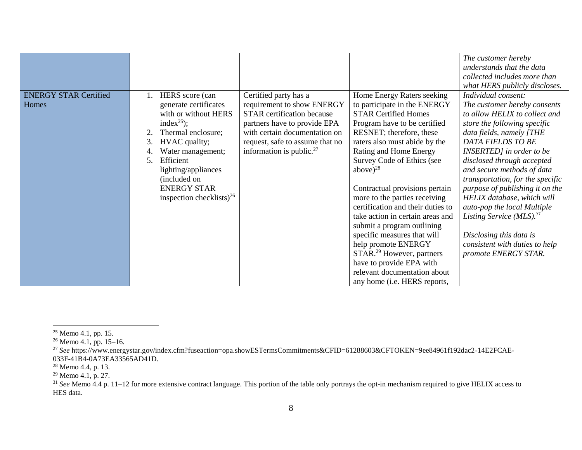|                                       |                                                                                                                                         |                                                                                                                                                                                              |                                                                                                                                                                                         | The customer hereby                                                                                                                                                   |
|---------------------------------------|-----------------------------------------------------------------------------------------------------------------------------------------|----------------------------------------------------------------------------------------------------------------------------------------------------------------------------------------------|-----------------------------------------------------------------------------------------------------------------------------------------------------------------------------------------|-----------------------------------------------------------------------------------------------------------------------------------------------------------------------|
|                                       |                                                                                                                                         |                                                                                                                                                                                              |                                                                                                                                                                                         | understands that the data                                                                                                                                             |
|                                       |                                                                                                                                         |                                                                                                                                                                                              |                                                                                                                                                                                         | collected includes more than                                                                                                                                          |
|                                       |                                                                                                                                         |                                                                                                                                                                                              |                                                                                                                                                                                         | what HERS publicly discloses.                                                                                                                                         |
| <b>ENERGY STAR Certified</b><br>Homes | HERS score (can<br>generate certificates<br>with or without HERS<br>index <sup>25</sup> );<br>Thermal enclosure;<br>3.<br>HVAC quality; | Certified party has a<br>requirement to show ENERGY<br><b>STAR</b> certification because<br>partners have to provide EPA<br>with certain documentation on<br>request, safe to assume that no | Home Energy Raters seeking<br>to participate in the ENERGY<br><b>STAR Certified Homes</b><br>Program have to be certified<br>RESNET; therefore, these<br>raters also must abide by the  | Individual consent:<br>The customer hereby consents<br>to allow HELIX to collect and<br>store the following specific<br>data fields, namely [THE<br>DATA FIELDS TO BE |
|                                       | Water management;<br>Efficient<br>5.<br>lighting/appliances<br>(included on                                                             | information is public. $27$                                                                                                                                                                  | Rating and Home Energy<br>Survey Code of Ethics (see<br>above $)^{28}$                                                                                                                  | INSERTED] in order to be<br>disclosed through accepted<br>and secure methods of data<br>transportation, for the specific                                              |
|                                       | <b>ENERGY STAR</b><br>inspection checklists) <sup>26</sup>                                                                              |                                                                                                                                                                                              | Contractual provisions pertain<br>more to the parties receiving<br>certification and their duties to<br>take action in certain areas and<br>submit a program outlining                  | purpose of publishing it on the<br>HELIX database, which will<br>auto-pop the local Multiple<br>Listing Service (MLS). <sup>31</sup>                                  |
|                                       |                                                                                                                                         |                                                                                                                                                                                              | specific measures that will<br>help promote ENERGY<br>STAR. <sup>29</sup> However, partners<br>have to provide EPA with<br>relevant documentation about<br>any home (i.e. HERS reports, | Disclosing this data is<br>consistent with duties to help<br>promote ENERGY STAR.                                                                                     |

 $\overline{a}$ 

 $25$  Memo 4.1, pp. 15.

 $26$  Memo 4.1, pp. 15–16.

<sup>27</sup> *See* https://www.energystar.gov/index.cfm?fuseaction=opa.showESTermsCommitments&CFID=61288603&CFTOKEN=9ee84961f192dac2-14E2FCAE-033F-41B4-0A73EA33565AD41D*.*

 $28$  Memo 4.4, p. 13.

<sup>&</sup>lt;sup>29</sup> Memo 4.1, p. 27.

<sup>&</sup>lt;sup>31</sup> See Memo 4.4 p. 11–12 for more extensive contract language. This portion of the table only portrays the opt-in mechanism required to give HELIX access to HES data.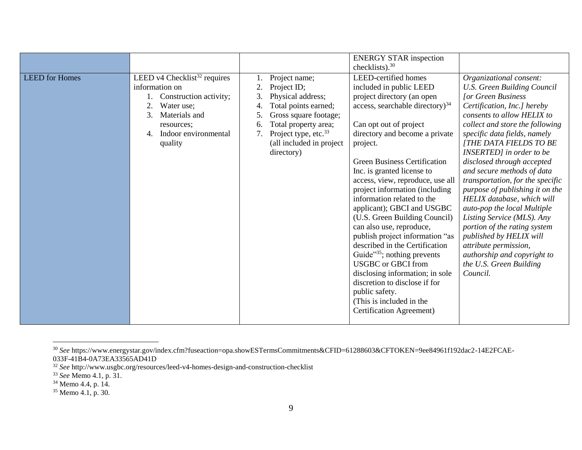|                       |                                                                                                                                                                                        |                                                                                                                                                                                                                                                    | <b>ENERGY STAR inspection</b><br>checklists). <sup>30</sup>                                                                                                                                                                                                                                                                                                                                                                                                                                                                                                                                                                                                                                                                                                |                                                                                                                                                                                                                                                                                                                                                                                                                                                                                                                                                                                                                                                                          |
|-----------------------|----------------------------------------------------------------------------------------------------------------------------------------------------------------------------------------|----------------------------------------------------------------------------------------------------------------------------------------------------------------------------------------------------------------------------------------------------|------------------------------------------------------------------------------------------------------------------------------------------------------------------------------------------------------------------------------------------------------------------------------------------------------------------------------------------------------------------------------------------------------------------------------------------------------------------------------------------------------------------------------------------------------------------------------------------------------------------------------------------------------------------------------------------------------------------------------------------------------------|--------------------------------------------------------------------------------------------------------------------------------------------------------------------------------------------------------------------------------------------------------------------------------------------------------------------------------------------------------------------------------------------------------------------------------------------------------------------------------------------------------------------------------------------------------------------------------------------------------------------------------------------------------------------------|
| <b>LEED</b> for Homes | LEED v4 Checklist <sup>32</sup> requires<br>information on<br>Construction activity;<br>2.<br>Water use;<br>3.<br>Materials and<br>resources;<br>Indoor environmental<br>4.<br>quality | Project name;<br>$\overline{2}$<br>Project ID;<br>3.<br>Physical address;<br>Total points earned;<br>4.<br>Gross square footage;<br>5.<br>Total property area;<br>6.<br>Project type, etc. <sup>33</sup><br>(all included in project<br>directory) | LEED-certified homes<br>included in public LEED<br>project directory (an open<br>access, searchable directory) $34$<br>Can opt out of project<br>directory and become a private<br>project.<br><b>Green Business Certification</b><br>Inc. is granted license to<br>access, view, reproduce, use all<br>project information (including<br>information related to the<br>applicant); GBCI and USGBC<br>(U.S. Green Building Council)<br>can also use, reproduce,<br>publish project information "as<br>described in the Certification<br>Guide <sup>335</sup> ; nothing prevents<br><b>USGBC</b> or GBCI from<br>disclosing information; in sole<br>discretion to disclose if for<br>public safety.<br>(This is included in the<br>Certification Agreement) | Organizational consent:<br><b>U.S. Green Building Council</b><br><b>[or Green Business</b><br>Certification, Inc.] hereby<br>consents to allow HELIX to<br>collect and store the following<br>specific data fields, namely<br>[THE DATA FIELDS TO BE<br>INSERTED] in order to be<br>disclosed through accepted<br>and secure methods of data<br>transportation, for the specific<br>purpose of publishing it on the<br>HELIX database, which will<br>auto-pop the local Multiple<br>Listing Service (MLS). Any<br>portion of the rating system<br>published by HELIX will<br>attribute permission,<br>authorship and copyright to<br>the U.S. Green Building<br>Council. |

<sup>30</sup> *See* https://www.energystar.gov/index.cfm?fuseaction=opa.showESTermsCommitments&CFID=61288603&CFTOKEN=9ee84961f192dac2-14E2FCAE-033F-41B4-0A73EA33565AD41D

l

<sup>32</sup> *See* http://www.usgbc.org/resources/leed-v4-homes-design-and-construction-checklist

<sup>33</sup> *See* Memo 4.1, p. 31.

<sup>&</sup>lt;sup>34</sup> Memo 4.4, p. 14.

<sup>&</sup>lt;sup>35</sup> Memo 4.1, p. 30.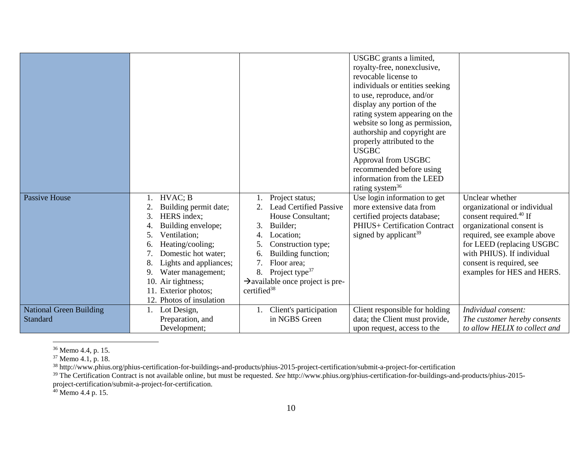|                                |                          |                                              | USGBC grants a limited,<br>royalty-free, nonexclusive,<br>revocable license to |                               |
|--------------------------------|--------------------------|----------------------------------------------|--------------------------------------------------------------------------------|-------------------------------|
|                                |                          |                                              | individuals or entities seeking                                                |                               |
|                                |                          |                                              | to use, reproduce, and/or                                                      |                               |
|                                |                          |                                              | display any portion of the                                                     |                               |
|                                |                          |                                              | rating system appearing on the                                                 |                               |
|                                |                          |                                              | website so long as permission,                                                 |                               |
|                                |                          |                                              | authorship and copyright are                                                   |                               |
|                                |                          |                                              | properly attributed to the<br><b>USGBC</b>                                     |                               |
|                                |                          |                                              | Approval from USGBC                                                            |                               |
|                                |                          |                                              | recommended before using                                                       |                               |
|                                |                          |                                              | information from the LEED                                                      |                               |
|                                |                          |                                              | rating system $36$                                                             |                               |
| <b>Passive House</b>           | HVAC; B                  | Project status;                              | Use login information to get                                                   | Unclear whether               |
|                                | Building permit date;    | <b>Lead Certified Passive</b>                | more extensive data from                                                       | organizational or individual  |
|                                | 3.<br>HERS index;        | House Consultant;                            | certified projects database;                                                   | consent required. $40$ If     |
|                                | Building envelope;       | 3.<br>Builder;                               | PHIUS+ Certification Contract                                                  | organizational consent is     |
|                                | Ventilation;<br>5.       | Location;<br>4.                              | signed by applicant $39$                                                       | required, see example above   |
|                                | Heating/cooling;         | Construction type;                           |                                                                                | for LEED (replacing USGBC)    |
|                                | Domestic hot water;      | Building function;<br>6.                     |                                                                                | with PHIUS). If individual    |
|                                | Lights and appliances;   | 7.<br>Floor area;                            |                                                                                | consent is required, see      |
|                                | Water management;<br>9.  | Project type <sup>37</sup><br>8.             |                                                                                | examples for HES and HERS.    |
|                                | 10. Air tightness;       | $\rightarrow$ available once project is pre- |                                                                                |                               |
|                                | 11. Exterior photos;     | certified <sup>38</sup>                      |                                                                                |                               |
|                                | 12. Photos of insulation |                                              |                                                                                |                               |
| <b>National Green Building</b> | Lot Design,              | Client's participation                       | Client responsible for holding                                                 | Individual consent:           |
| Standard                       | Preparation, and         | in NGBS Green                                | data; the Client must provide,                                                 | The customer hereby consents  |
|                                | Development;             |                                              | upon request, access to the                                                    | to allow HELIX to collect and |

l <sup>36</sup> Memo 4.4, p. 15.

<sup>38</sup> http://www.phius.org/phius-certification-for-buildings-and-products/phius-2015-project-certification/submit-a-project-for-certification

<sup>39</sup> The Certification Contract is not available online, but must be requested. *See* http://www.phius.org/phius-certification-for-buildings-and-products/phius-2015-

 $40$  Memo 4.4 p. 15.

<sup>&</sup>lt;sup>37</sup> Memo 4.1, p. 18.

project-certification/submit-a-project-for-certification.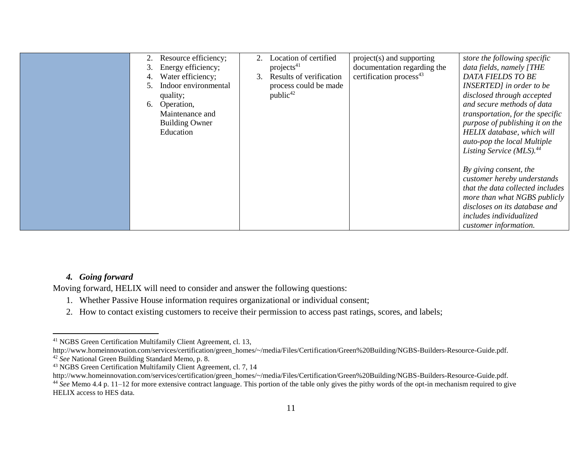| Resource efficiency;<br>Energy efficiency;<br>3.<br>Water efficiency;<br>Indoor environmental<br>quality;<br>Operation,<br>6.<br>Maintenance and<br><b>Building Owner</b><br>Education | Location of certified<br>2.<br>projects $41$<br>Results of verification<br>3.<br>process could be made<br>public <sup>42</sup> | project(s) and supporting<br>documentation regarding the<br>certification process <sup>43</sup> | store the following specific<br>data fields, namely [THE<br>DATA FIELDS TO BE<br>INSERTED] in order to be<br>disclosed through accepted<br>and secure methods of data<br>transportation, for the specific<br>purpose of publishing it on the<br>HELIX database, which will<br>auto-pop the local Multiple<br>Listing Service (MLS). <sup>44</sup> |
|----------------------------------------------------------------------------------------------------------------------------------------------------------------------------------------|--------------------------------------------------------------------------------------------------------------------------------|-------------------------------------------------------------------------------------------------|---------------------------------------------------------------------------------------------------------------------------------------------------------------------------------------------------------------------------------------------------------------------------------------------------------------------------------------------------|
|                                                                                                                                                                                        |                                                                                                                                |                                                                                                 | By giving consent, the<br>customer hereby understands<br>that the data collected includes<br>more than what NGBS publicly<br>discloses on its database and<br>includes individualized<br>customer information.                                                                                                                                    |

#### *4. Going forward*

 $\overline{\phantom{a}}$ 

Moving forward, HELIX will need to consider and answer the following questions:

- 1. Whether Passive House information requires organizational or individual consent;
- 2. How to contact existing customers to receive their permission to access past ratings, scores, and labels;

<sup>41</sup> NGBS Green Certification Multifamily Client Agreement, cl. 13,

http://www.homeinnovation.com/services/certification/green\_homes/~/media/Files/Certification/Green%20Building/NGBS-Builders-Resource-Guide.pdf. <sup>42</sup> *See* National Green Building Standard Memo, p. 8.

<sup>43</sup> NGBS Green Certification Multifamily Client Agreement, cl. 7, 14

http://www.homeinnovation.com/services/certification/green\_homes/~/media/Files/Certification/Green%20Building/NGBS-Builders-Resource-Guide.pdf. <sup>44</sup> See Memo 4.4 p. 11–12 for more extensive contract language. This portion of the table only gives the pithy words of the opt-in mechanism required to give HELIX access to HES data.